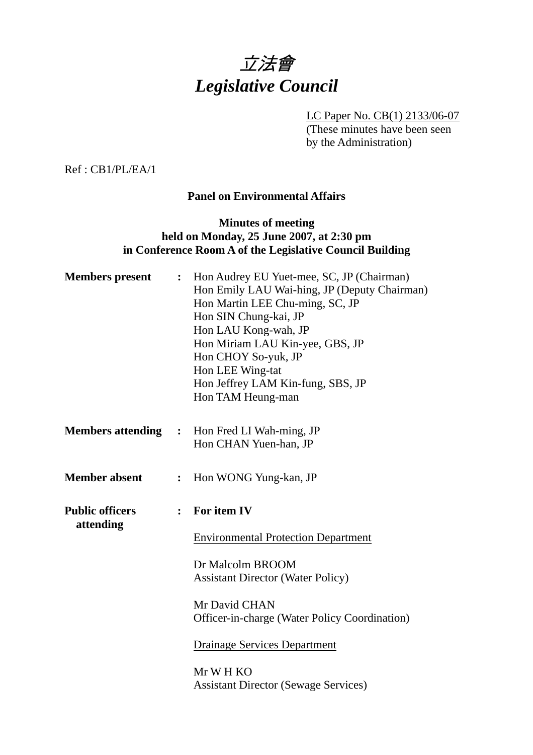

LC Paper No. CB(1) 2133/06-07 (These minutes have been seen by the Administration)

Ref : CB1/PL/EA/1

## **Panel on Environmental Affairs**

### **Minutes of meeting held on Monday, 25 June 2007, at 2:30 pm in Conference Room A of the Legislative Council Building**

| <b>Members</b> present              | $\ddot{\cdot}$ | Hon Audrey EU Yuet-mee, SC, JP (Chairman)<br>Hon Emily LAU Wai-hing, JP (Deputy Chairman)<br>Hon Martin LEE Chu-ming, SC, JP<br>Hon SIN Chung-kai, JP<br>Hon LAU Kong-wah, JP<br>Hon Miriam LAU Kin-yee, GBS, JP<br>Hon CHOY So-yuk, JP<br>Hon LEE Wing-tat<br>Hon Jeffrey LAM Kin-fung, SBS, JP<br>Hon TAM Heung-man |
|-------------------------------------|----------------|-----------------------------------------------------------------------------------------------------------------------------------------------------------------------------------------------------------------------------------------------------------------------------------------------------------------------|
|                                     |                | <b>Members attending : Hon Fred LI Wah-ming, JP</b><br>Hon CHAN Yuen-han, JP                                                                                                                                                                                                                                          |
| <b>Member absent</b>                | $\ddot{\cdot}$ | Hon WONG Yung-kan, JP                                                                                                                                                                                                                                                                                                 |
| <b>Public officers</b><br>attending | $\ddot{\cdot}$ | For item IV<br><b>Environmental Protection Department</b><br>Dr Malcolm BROOM<br><b>Assistant Director (Water Policy)</b><br>Mr David CHAN<br><b>Officer-in-charge (Water Policy Coordination)</b><br><b>Drainage Services Department</b><br>Mr W H KO<br><b>Assistant Director (Sewage Services)</b>                 |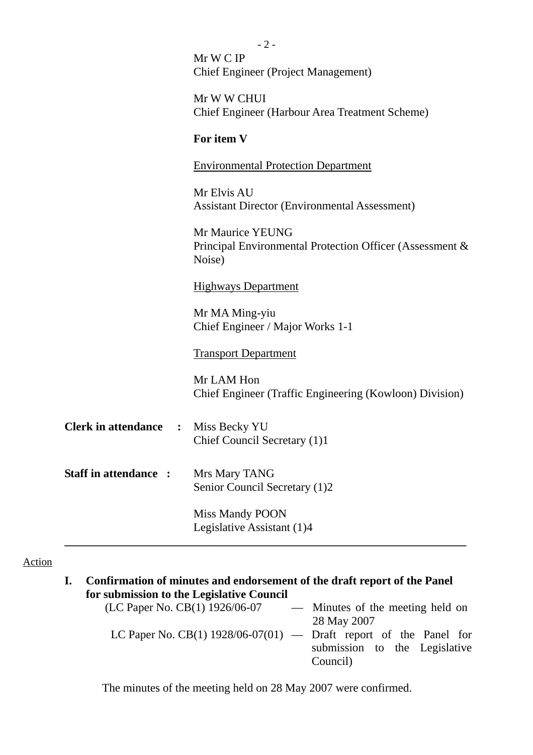|                             | $-2-$                                                              |  |
|-----------------------------|--------------------------------------------------------------------|--|
|                             | Mr W C IP                                                          |  |
|                             | <b>Chief Engineer (Project Management)</b>                         |  |
|                             | Mr W W CHUI                                                        |  |
|                             | <b>Chief Engineer (Harbour Area Treatment Scheme)</b>              |  |
|                             |                                                                    |  |
|                             | For item V                                                         |  |
|                             | <b>Environmental Protection Department</b>                         |  |
|                             | Mr Elvis AU                                                        |  |
|                             | <b>Assistant Director (Environmental Assessment)</b>               |  |
|                             |                                                                    |  |
|                             | Mr Maurice YEUNG                                                   |  |
|                             | Principal Environmental Protection Officer (Assessment &<br>Noise) |  |
|                             |                                                                    |  |
|                             | <b>Highways Department</b>                                         |  |
|                             | Mr MA Ming-yiu                                                     |  |
|                             | Chief Engineer / Major Works 1-1                                   |  |
|                             |                                                                    |  |
|                             | <b>Transport Department</b>                                        |  |
|                             | Mr LAM Hon                                                         |  |
|                             | Chief Engineer (Traffic Engineering (Kowloon) Division)            |  |
|                             |                                                                    |  |
| <b>Clerk in attendance</b>  | : Miss Becky YU                                                    |  |
|                             | Chief Council Secretary (1)1                                       |  |
|                             |                                                                    |  |
| <b>Staff in attendance:</b> | Mrs Mary TANG                                                      |  |
|                             | Senior Council Secretary (1)2                                      |  |
|                             | <b>Miss Mandy POON</b>                                             |  |
|                             | Legislative Assistant (1)4                                         |  |
|                             |                                                                    |  |

# Action

| L. | Confirmation of minutes and endorsement of the draft report of the Panel |                                  |  |  |  |  |
|----|--------------------------------------------------------------------------|----------------------------------|--|--|--|--|
|    | for submission to the Legislative Council                                |                                  |  |  |  |  |
|    | (LC Paper No. CB(1) 1926/06-07                                           | — Minutes of the meeting held on |  |  |  |  |
|    |                                                                          | 28 May 2007                      |  |  |  |  |
|    | LC Paper No. CB(1) $1928/06-07(01)$ — Draft report of the Panel for      |                                  |  |  |  |  |
|    |                                                                          | submission to the Legislative    |  |  |  |  |
|    |                                                                          | Council)                         |  |  |  |  |
|    |                                                                          |                                  |  |  |  |  |

The minutes of the meeting held on 28 May 2007 were confirmed.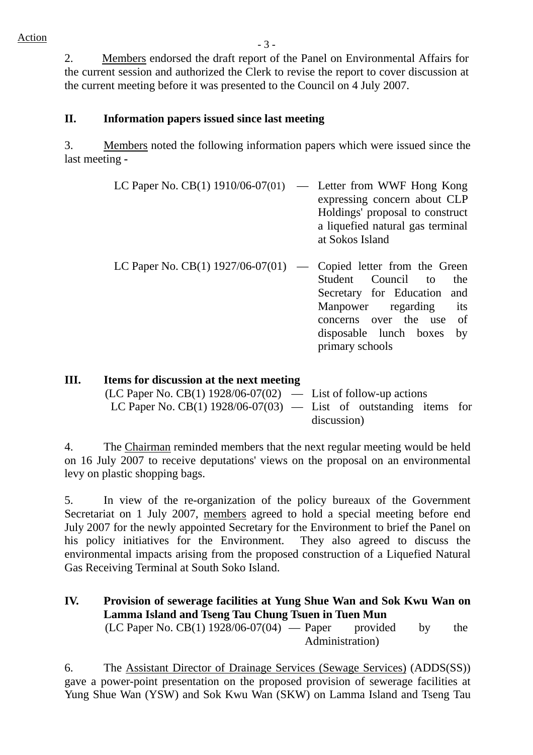2. Members endorsed the draft report of the Panel on Environmental Affairs for the current session and authorized the Clerk to revise the report to cover discussion at the current meeting before it was presented to the Council on 4 July 2007.

### **II. Information papers issued since last meeting**

3. Members noted the following information papers which were issued since the last meeting **-** 

- LC Paper No. CB $(1)$  1910/06-07 $(01)$  Letter from WWF Hong Kong expressing concern about CLP Holdings' proposal to construct a liquefied natural gas terminal at Sokos Island
- LC Paper No. CB(1)  $1927/06-07(01)$  Copied letter from the Green Student Council to the Secretary for Education and Manpower regarding its concerns over the use of disposable lunch boxes by primary schools

discussion)

| Ш. | Items for discussion at the next meeting                            |  |  |  |  |  |
|----|---------------------------------------------------------------------|--|--|--|--|--|
|    | $(LC$ Paper No. $CB(1)$ 1928/06-07(02) — List of follow-up actions  |  |  |  |  |  |
|    | LC Paper No. CB(1) $1928/06-07(03)$ — List of outstanding items for |  |  |  |  |  |

4. The Chairman reminded members that the next regular meeting would be held on 16 July 2007 to receive deputations' views on the proposal on an environmental levy on plastic shopping bags.

5. In view of the re-organization of the policy bureaux of the Government Secretariat on 1 July 2007, members agreed to hold a special meeting before end July 2007 for the newly appointed Secretary for the Environment to brief the Panel on his policy initiatives for the Environment. They also agreed to discuss the environmental impacts arising from the proposed construction of a Liquefied Natural Gas Receiving Terminal at South Soko Island.

**IV. Provision of sewerage facilities at Yung Shue Wan and Sok Kwu Wan on Lamma Island and Tseng Tau Chung Tsuen in Tuen Mun**   $(LC$  Paper No.  $CB(1)$  1928/06-07(04) — Paper provided by the Administration)

6. The Assistant Director of Drainage Services (Sewage Services) (ADDS(SS)) gave a power-point presentation on the proposed provision of sewerage facilities at Yung Shue Wan (YSW) and Sok Kwu Wan (SKW) on Lamma Island and Tseng Tau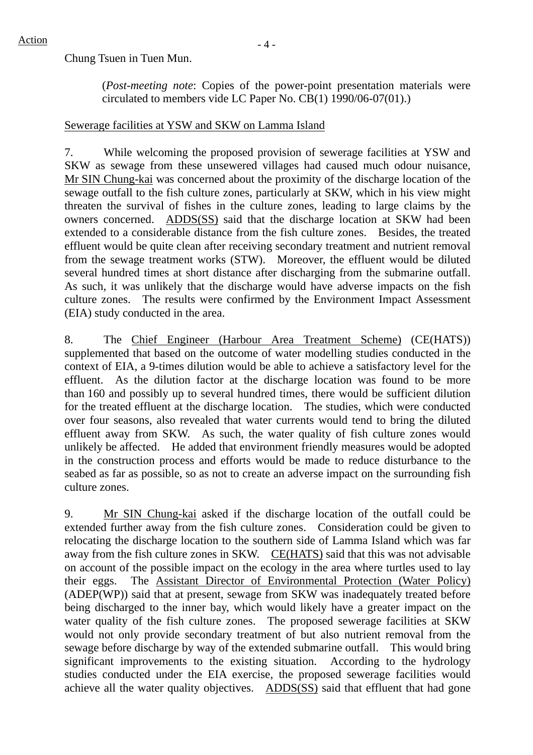Chung Tsuen in Tuen Mun.

(*Post-meeting note*: Copies of the power-point presentation materials were circulated to members vide LC Paper No. CB(1) 1990/06-07(01).)

#### Sewerage facilities at YSW and SKW on Lamma Island

7. While welcoming the proposed provision of sewerage facilities at YSW and SKW as sewage from these unsewered villages had caused much odour nuisance, Mr SIN Chung-kai was concerned about the proximity of the discharge location of the sewage outfall to the fish culture zones, particularly at SKW, which in his view might threaten the survival of fishes in the culture zones, leading to large claims by the owners concerned. ADDS(SS) said that the discharge location at SKW had been extended to a considerable distance from the fish culture zones. Besides, the treated effluent would be quite clean after receiving secondary treatment and nutrient removal from the sewage treatment works (STW). Moreover, the effluent would be diluted several hundred times at short distance after discharging from the submarine outfall. As such, it was unlikely that the discharge would have adverse impacts on the fish culture zones. The results were confirmed by the Environment Impact Assessment (EIA) study conducted in the area.

8. The Chief Engineer (Harbour Area Treatment Scheme) (CE(HATS)) supplemented that based on the outcome of water modelling studies conducted in the context of EIA, a 9-times dilution would be able to achieve a satisfactory level for the effluent. As the dilution factor at the discharge location was found to be more than 160 and possibly up to several hundred times, there would be sufficient dilution for the treated effluent at the discharge location. The studies, which were conducted over four seasons, also revealed that water currents would tend to bring the diluted effluent away from SKW. As such, the water quality of fish culture zones would unlikely be affected. He added that environment friendly measures would be adopted in the construction process and efforts would be made to reduce disturbance to the seabed as far as possible, so as not to create an adverse impact on the surrounding fish culture zones.

9. Mr SIN Chung-kai asked if the discharge location of the outfall could be extended further away from the fish culture zones. Consideration could be given to relocating the discharge location to the southern side of Lamma Island which was far away from the fish culture zones in SKW. CE(HATS) said that this was not advisable on account of the possible impact on the ecology in the area where turtles used to lay their eggs. The Assistant Director of Environmental Protection (Water Policy) (ADEP(WP)) said that at present, sewage from SKW was inadequately treated before being discharged to the inner bay, which would likely have a greater impact on the water quality of the fish culture zones. The proposed sewerage facilities at SKW would not only provide secondary treatment of but also nutrient removal from the sewage before discharge by way of the extended submarine outfall. This would bring significant improvements to the existing situation. According to the hydrology studies conducted under the EIA exercise, the proposed sewerage facilities would achieve all the water quality objectives. ADDS(SS) said that effluent that had gone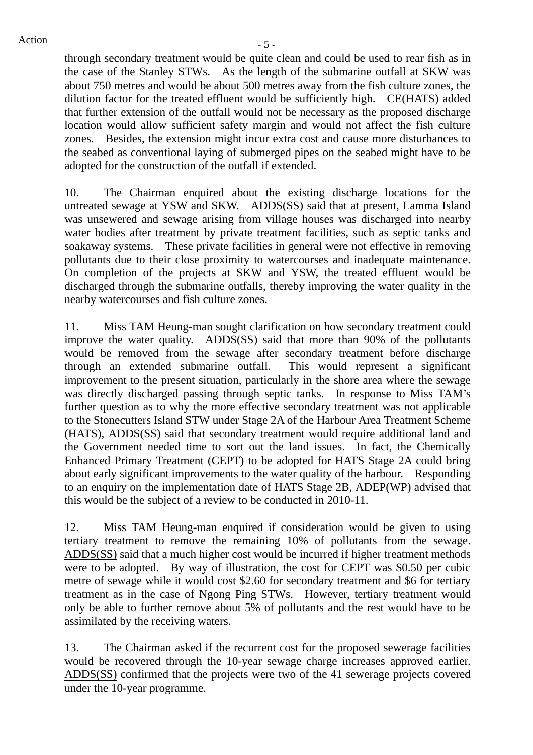through secondary treatment would be quite clean and could be used to rear fish as in the case of the Stanley STWs. As the length of the submarine outfall at SKW was about 750 metres and would be about 500 metres away from the fish culture zones, the dilution factor for the treated effluent would be sufficiently high. CE(HATS) added that further extension of the outfall would not be necessary as the proposed discharge location would allow sufficient safety margin and would not affect the fish culture zones. Besides, the extension might incur extra cost and cause more disturbances to the seabed as conventional laying of submerged pipes on the seabed might have to be adopted for the construction of the outfall if extended.

10. The Chairman enquired about the existing discharge locations for the untreated sewage at YSW and SKW. ADDS(SS) said that at present, Lamma Island was unsewered and sewage arising from village houses was discharged into nearby water bodies after treatment by private treatment facilities, such as septic tanks and soakaway systems. These private facilities in general were not effective in removing pollutants due to their close proximity to watercourses and inadequate maintenance. On completion of the projects at SKW and YSW, the treated effluent would be discharged through the submarine outfalls, thereby improving the water quality in the nearby watercourses and fish culture zones.

11. Miss TAM Heung-man sought clarification on how secondary treatment could improve the water quality. ADDS(SS) said that more than 90% of the pollutants would be removed from the sewage after secondary treatment before discharge through an extended submarine outfall. This would represent a significant improvement to the present situation, particularly in the shore area where the sewage was directly discharged passing through septic tanks. In response to Miss TAM's further question as to why the more effective secondary treatment was not applicable to the Stonecutters Island STW under Stage 2A of the Harbour Area Treatment Scheme (HATS), ADDS(SS) said that secondary treatment would require additional land and the Government needed time to sort out the land issues. In fact, the Chemically Enhanced Primary Treatment (CEPT) to be adopted for HATS Stage 2A could bring about early significant improvements to the water quality of the harbour. Responding to an enquiry on the implementation date of HATS Stage 2B, ADEP(WP) advised that this would be the subject of a review to be conducted in 2010-11.

12. Miss TAM Heung-man enquired if consideration would be given to using tertiary treatment to remove the remaining 10% of pollutants from the sewage. ADDS(SS) said that a much higher cost would be incurred if higher treatment methods were to be adopted. By way of illustration, the cost for CEPT was \$0.50 per cubic metre of sewage while it would cost \$2.60 for secondary treatment and \$6 for tertiary treatment as in the case of Ngong Ping STWs. However, tertiary treatment would only be able to further remove about 5% of pollutants and the rest would have to be assimilated by the receiving waters.

13. The Chairman asked if the recurrent cost for the proposed sewerage facilities would be recovered through the 10-year sewage charge increases approved earlier. ADDS(SS) confirmed that the projects were two of the 41 sewerage projects covered under the 10-year programme.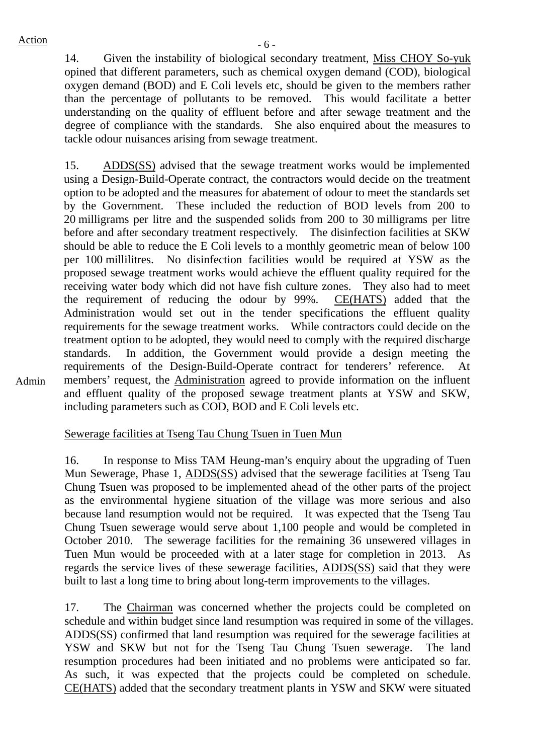Admin

14. Given the instability of biological secondary treatment, Miss CHOY So-yuk opined that different parameters, such as chemical oxygen demand (COD), biological oxygen demand (BOD) and E Coli levels etc, should be given to the members rather than the percentage of pollutants to be removed. This would facilitate a better understanding on the quality of effluent before and after sewage treatment and the degree of compliance with the standards. She also enquired about the measures to tackle odour nuisances arising from sewage treatment.

15. ADDS(SS) advised that the sewage treatment works would be implemented using a Design-Build-Operate contract, the contractors would decide on the treatment option to be adopted and the measures for abatement of odour to meet the standards set by the Government. These included the reduction of BOD levels from 200 to 20 milligrams per litre and the suspended solids from 200 to 30 milligrams per litre before and after secondary treatment respectively. The disinfection facilities at SKW should be able to reduce the E Coli levels to a monthly geometric mean of below 100 per 100 millilitres. No disinfection facilities would be required at YSW as the proposed sewage treatment works would achieve the effluent quality required for the receiving water body which did not have fish culture zones. They also had to meet the requirement of reducing the odour by 99%. CE(HATS) added that the Administration would set out in the tender specifications the effluent quality requirements for the sewage treatment works. While contractors could decide on the treatment option to be adopted, they would need to comply with the required discharge standards. In addition, the Government would provide a design meeting the requirements of the Design-Build-Operate contract for tenderers' reference. At members' request, the Administration agreed to provide information on the influent and effluent quality of the proposed sewage treatment plants at YSW and SKW, including parameters such as COD, BOD and E Coli levels etc.

Sewerage facilities at Tseng Tau Chung Tsuen in Tuen Mun

16. In response to Miss TAM Heung-man's enquiry about the upgrading of Tuen Mun Sewerage, Phase 1, ADDS(SS) advised that the sewerage facilities at Tseng Tau Chung Tsuen was proposed to be implemented ahead of the other parts of the project as the environmental hygiene situation of the village was more serious and also because land resumption would not be required. It was expected that the Tseng Tau Chung Tsuen sewerage would serve about 1,100 people and would be completed in October 2010. The sewerage facilities for the remaining 36 unsewered villages in Tuen Mun would be proceeded with at a later stage for completion in 2013. As regards the service lives of these sewerage facilities, ADDS(SS) said that they were built to last a long time to bring about long-term improvements to the villages.

17. The Chairman was concerned whether the projects could be completed on schedule and within budget since land resumption was required in some of the villages. ADDS(SS) confirmed that land resumption was required for the sewerage facilities at YSW and SKW but not for the Tseng Tau Chung Tsuen sewerage. The land resumption procedures had been initiated and no problems were anticipated so far. As such, it was expected that the projects could be completed on schedule. CE(HATS) added that the secondary treatment plants in YSW and SKW were situated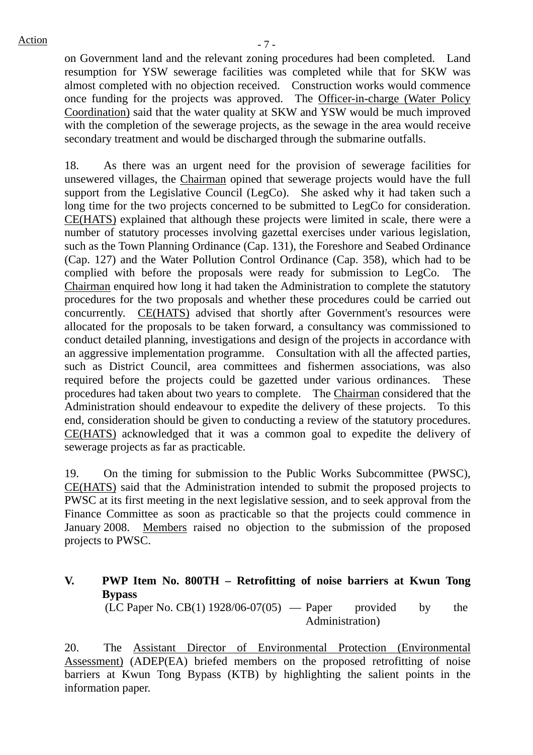on Government land and the relevant zoning procedures had been completed. Land resumption for YSW sewerage facilities was completed while that for SKW was almost completed with no objection received. Construction works would commence once funding for the projects was approved. The Officer-in-charge (Water Policy Coordination) said that the water quality at SKW and YSW would be much improved with the completion of the sewerage projects, as the sewage in the area would receive secondary treatment and would be discharged through the submarine outfalls.

18. As there was an urgent need for the provision of sewerage facilities for unsewered villages, the Chairman opined that sewerage projects would have the full support from the Legislative Council (LegCo). She asked why it had taken such a long time for the two projects concerned to be submitted to LegCo for consideration. CE(HATS) explained that although these projects were limited in scale, there were a number of statutory processes involving gazettal exercises under various legislation, such as the Town Planning Ordinance (Cap. 131), the Foreshore and Seabed Ordinance (Cap. 127) and the Water Pollution Control Ordinance (Cap. 358), which had to be complied with before the proposals were ready for submission to LegCo. The Chairman enquired how long it had taken the Administration to complete the statutory procedures for the two proposals and whether these procedures could be carried out concurrently. CE(HATS) advised that shortly after Government's resources were allocated for the proposals to be taken forward, a consultancy was commissioned to conduct detailed planning, investigations and design of the projects in accordance with an aggressive implementation programme. Consultation with all the affected parties, such as District Council, area committees and fishermen associations, was also required before the projects could be gazetted under various ordinances. These procedures had taken about two years to complete. The Chairman considered that the Administration should endeavour to expedite the delivery of these projects. To this end, consideration should be given to conducting a review of the statutory procedures. CE(HATS) acknowledged that it was a common goal to expedite the delivery of sewerage projects as far as practicable.

19. On the timing for submission to the Public Works Subcommittee (PWSC), CE(HATS) said that the Administration intended to submit the proposed projects to PWSC at its first meeting in the next legislative session, and to seek approval from the Finance Committee as soon as practicable so that the projects could commence in January 2008. Members raised no objection to the submission of the proposed projects to PWSC.

**V. PWP Item No. 800TH – Retrofitting of noise barriers at Kwun Tong Bypass**   $(LC$  Paper No.  $CB(1)$  1928/06-07(05) — Paper provided by the Administration)

20. The Assistant Director of Environmental Protection (Environmental Assessment) (ADEP(EA) briefed members on the proposed retrofitting of noise barriers at Kwun Tong Bypass (KTB) by highlighting the salient points in the information paper.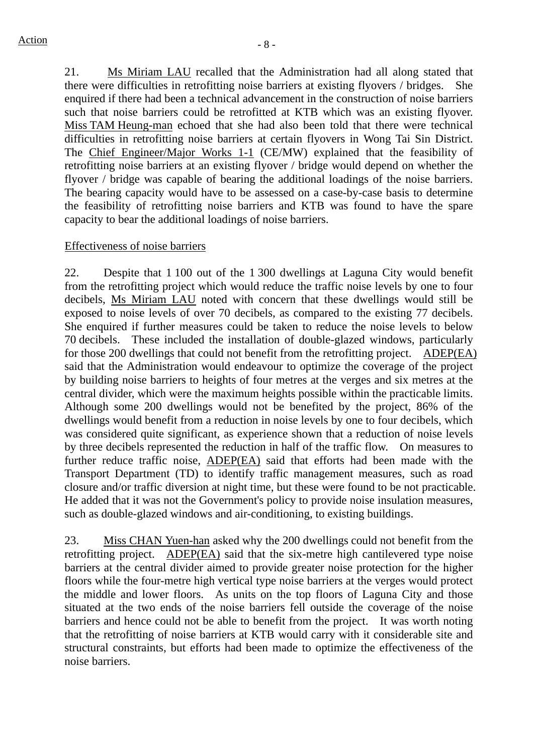21. Ms Miriam LAU recalled that the Administration had all along stated that there were difficulties in retrofitting noise barriers at existing flyovers / bridges. She enquired if there had been a technical advancement in the construction of noise barriers such that noise barriers could be retrofitted at KTB which was an existing flyover. Miss TAM Heung-man echoed that she had also been told that there were technical difficulties in retrofitting noise barriers at certain flyovers in Wong Tai Sin District. The Chief Engineer/Major Works 1-1 (CE/MW) explained that the feasibility of retrofitting noise barriers at an existing flyover / bridge would depend on whether the flyover / bridge was capable of bearing the additional loadings of the noise barriers. The bearing capacity would have to be assessed on a case-by-case basis to determine the feasibility of retrofitting noise barriers and KTB was found to have the spare capacity to bear the additional loadings of noise barriers.

#### Effectiveness of noise barriers

22. Despite that 1 100 out of the 1 300 dwellings at Laguna City would benefit from the retrofitting project which would reduce the traffic noise levels by one to four decibels, Ms Miriam LAU noted with concern that these dwellings would still be exposed to noise levels of over 70 decibels, as compared to the existing 77 decibels. She enquired if further measures could be taken to reduce the noise levels to below 70 decibels. These included the installation of double-glazed windows, particularly for those 200 dwellings that could not benefit from the retrofitting project. ADEP(EA) said that the Administration would endeavour to optimize the coverage of the project by building noise barriers to heights of four metres at the verges and six metres at the central divider, which were the maximum heights possible within the practicable limits. Although some 200 dwellings would not be benefited by the project, 86% of the dwellings would benefit from a reduction in noise levels by one to four decibels, which was considered quite significant, as experience shown that a reduction of noise levels by three decibels represented the reduction in half of the traffic flow. On measures to further reduce traffic noise, ADEP(EA) said that efforts had been made with the Transport Department (TD) to identify traffic management measures, such as road closure and/or traffic diversion at night time, but these were found to be not practicable. He added that it was not the Government's policy to provide noise insulation measures, such as double-glazed windows and air-conditioning, to existing buildings.

23. Miss CHAN Yuen-han asked why the 200 dwellings could not benefit from the retrofitting project. ADEP(EA) said that the six-metre high cantilevered type noise barriers at the central divider aimed to provide greater noise protection for the higher floors while the four-metre high vertical type noise barriers at the verges would protect the middle and lower floors. As units on the top floors of Laguna City and those situated at the two ends of the noise barriers fell outside the coverage of the noise barriers and hence could not be able to benefit from the project. It was worth noting that the retrofitting of noise barriers at KTB would carry with it considerable site and structural constraints, but efforts had been made to optimize the effectiveness of the noise barriers.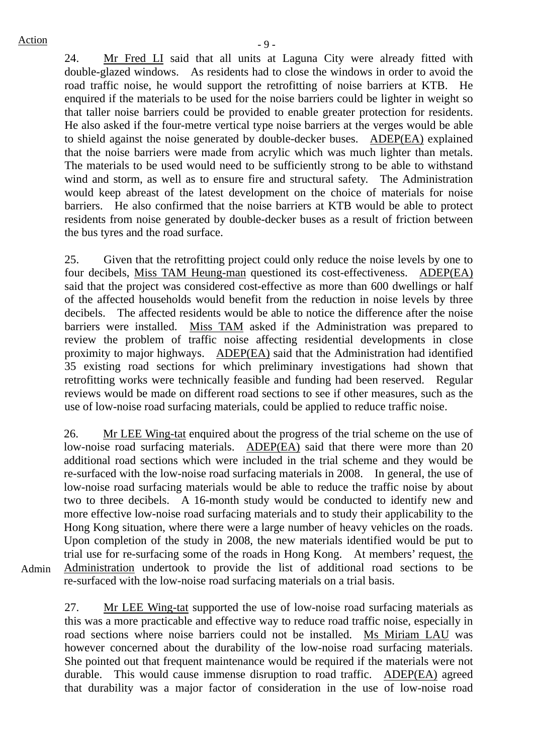24. Mr Fred LI said that all units at Laguna City were already fitted with double-glazed windows. As residents had to close the windows in order to avoid the road traffic noise, he would support the retrofitting of noise barriers at KTB. He enquired if the materials to be used for the noise barriers could be lighter in weight so that taller noise barriers could be provided to enable greater protection for residents. He also asked if the four-metre vertical type noise barriers at the verges would be able to shield against the noise generated by double-decker buses. ADEP(EA) explained that the noise barriers were made from acrylic which was much lighter than metals. The materials to be used would need to be sufficiently strong to be able to withstand wind and storm, as well as to ensure fire and structural safety. The Administration would keep abreast of the latest development on the choice of materials for noise barriers. He also confirmed that the noise barriers at KTB would be able to protect residents from noise generated by double-decker buses as a result of friction between the bus tyres and the road surface.

25. Given that the retrofitting project could only reduce the noise levels by one to four decibels, Miss TAM Heung-man questioned its cost-effectiveness. ADEP(EA) said that the project was considered cost-effective as more than 600 dwellings or half of the affected households would benefit from the reduction in noise levels by three decibels. The affected residents would be able to notice the difference after the noise barriers were installed. Miss TAM asked if the Administration was prepared to review the problem of traffic noise affecting residential developments in close proximity to major highways. ADEP(EA) said that the Administration had identified 35 existing road sections for which preliminary investigations had shown that retrofitting works were technically feasible and funding had been reserved. Regular reviews would be made on different road sections to see if other measures, such as the use of low-noise road surfacing materials, could be applied to reduce traffic noise.

26. Mr LEE Wing-tat enquired about the progress of the trial scheme on the use of low-noise road surfacing materials. ADEP(EA) said that there were more than 20 additional road sections which were included in the trial scheme and they would be re-surfaced with the low-noise road surfacing materials in 2008. In general, the use of low-noise road surfacing materials would be able to reduce the traffic noise by about two to three decibels. A 16-month study would be conducted to identify new and more effective low-noise road surfacing materials and to study their applicability to the Hong Kong situation, where there were a large number of heavy vehicles on the roads. Upon completion of the study in 2008, the new materials identified would be put to trial use for re-surfacing some of the roads in Hong Kong. At members' request, the Administration undertook to provide the list of additional road sections to be re-surfaced with the low-noise road surfacing materials on a trial basis.

Admin

27. Mr LEE Wing-tat supported the use of low-noise road surfacing materials as this was a more practicable and effective way to reduce road traffic noise, especially in road sections where noise barriers could not be installed. Ms Miriam LAU was however concerned about the durability of the low-noise road surfacing materials. She pointed out that frequent maintenance would be required if the materials were not durable. This would cause immense disruption to road traffic. ADEP(EA) agreed that durability was a major factor of consideration in the use of low-noise road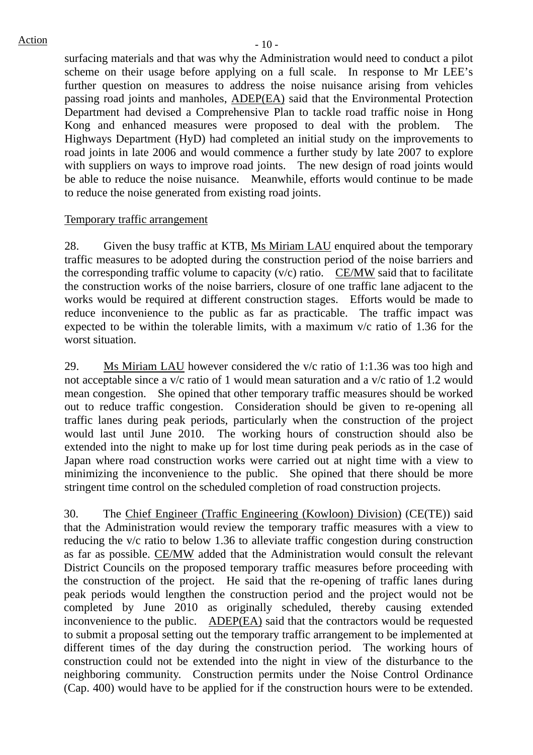surfacing materials and that was why the Administration would need to conduct a pilot scheme on their usage before applying on a full scale. In response to Mr LEE's further question on measures to address the noise nuisance arising from vehicles passing road joints and manholes, ADEP(EA) said that the Environmental Protection Department had devised a Comprehensive Plan to tackle road traffic noise in Hong Kong and enhanced measures were proposed to deal with the problem. The Highways Department (HyD) had completed an initial study on the improvements to road joints in late 2006 and would commence a further study by late 2007 to explore with suppliers on ways to improve road joints. The new design of road joints would be able to reduce the noise nuisance. Meanwhile, efforts would continue to be made to reduce the noise generated from existing road joints.

#### Temporary traffic arrangement

28. Given the busy traffic at KTB, Ms Miriam LAU enquired about the temporary traffic measures to be adopted during the construction period of the noise barriers and the corresponding traffic volume to capacity  $(v/c)$  ratio. CE/MW said that to facilitate the construction works of the noise barriers, closure of one traffic lane adjacent to the works would be required at different construction stages. Efforts would be made to reduce inconvenience to the public as far as practicable. The traffic impact was expected to be within the tolerable limits, with a maximum v/c ratio of 1.36 for the worst situation.

29. Ms Miriam LAU however considered the v/c ratio of 1:1.36 was too high and not acceptable since a v/c ratio of 1 would mean saturation and a v/c ratio of 1.2 would mean congestion. She opined that other temporary traffic measures should be worked out to reduce traffic congestion. Consideration should be given to re-opening all traffic lanes during peak periods, particularly when the construction of the project would last until June 2010. The working hours of construction should also be extended into the night to make up for lost time during peak periods as in the case of Japan where road construction works were carried out at night time with a view to minimizing the inconvenience to the public. She opined that there should be more stringent time control on the scheduled completion of road construction projects.

30. The Chief Engineer (Traffic Engineering (Kowloon) Division) (CE(TE)) said that the Administration would review the temporary traffic measures with a view to reducing the v/c ratio to below 1.36 to alleviate traffic congestion during construction as far as possible. CE/MW added that the Administration would consult the relevant District Councils on the proposed temporary traffic measures before proceeding with the construction of the project. He said that the re-opening of traffic lanes during peak periods would lengthen the construction period and the project would not be completed by June 2010 as originally scheduled, thereby causing extended inconvenience to the public. ADEP(EA) said that the contractors would be requested to submit a proposal setting out the temporary traffic arrangement to be implemented at different times of the day during the construction period. The working hours of construction could not be extended into the night in view of the disturbance to the neighboring community. Construction permits under the Noise Control Ordinance (Cap. 400) would have to be applied for if the construction hours were to be extended.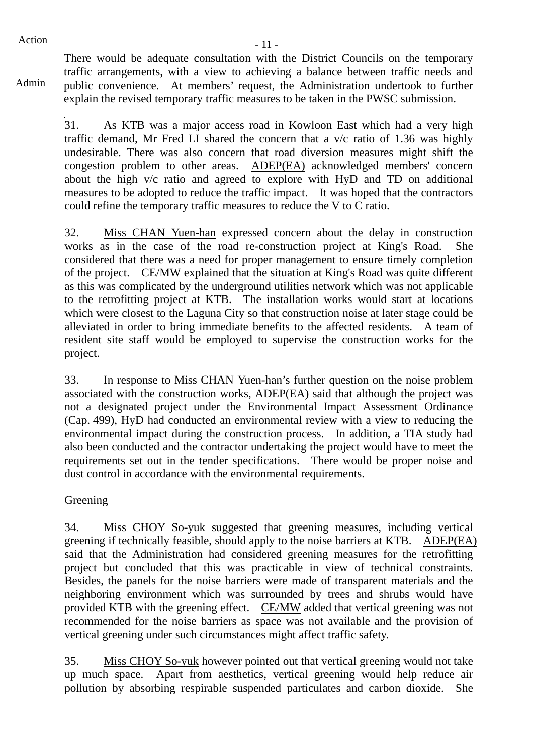$Action$   $-11$   $-$ 

Admin

There would be adequate consultation with the District Councils on the temporary traffic arrangements, with a view to achieving a balance between traffic needs and public convenience. At members' request, the Administration undertook to further explain the revised temporary traffic measures to be taken in the PWSC submission.

31. As KTB was a major access road in Kowloon East which had a very high traffic demand, Mr Fred LI shared the concern that a v/c ratio of 1.36 was highly undesirable. There was also concern that road diversion measures might shift the congestion problem to other areas. ADEP(EA) acknowledged members' concern about the high v/c ratio and agreed to explore with HyD and TD on additional measures to be adopted to reduce the traffic impact. It was hoped that the contractors could refine the temporary traffic measures to reduce the V to C ratio.

32. Miss CHAN Yuen-han expressed concern about the delay in construction works as in the case of the road re-construction project at King's Road. She considered that there was a need for proper management to ensure timely completion of the project. CE/MW explained that the situation at King's Road was quite different as this was complicated by the underground utilities network which was not applicable to the retrofitting project at KTB. The installation works would start at locations which were closest to the Laguna City so that construction noise at later stage could be alleviated in order to bring immediate benefits to the affected residents. A team of resident site staff would be employed to supervise the construction works for the project.

33. In response to Miss CHAN Yuen-han's further question on the noise problem associated with the construction works, ADEP(EA) said that although the project was not a designated project under the Environmental Impact Assessment Ordinance (Cap. 499), HyD had conducted an environmental review with a view to reducing the environmental impact during the construction process. In addition, a TIA study had also been conducted and the contractor undertaking the project would have to meet the requirements set out in the tender specifications. There would be proper noise and dust control in accordance with the environmental requirements.

#### Greening

34. Miss CHOY So-yuk suggested that greening measures, including vertical greening if technically feasible, should apply to the noise barriers at KTB. ADEP(EA) said that the Administration had considered greening measures for the retrofitting project but concluded that this was practicable in view of technical constraints. Besides, the panels for the noise barriers were made of transparent materials and the neighboring environment which was surrounded by trees and shrubs would have provided KTB with the greening effect. CE/MW added that vertical greening was not recommended for the noise barriers as space was not available and the provision of vertical greening under such circumstances might affect traffic safety.

35. Miss CHOY So-yuk however pointed out that vertical greening would not take up much space. Apart from aesthetics, vertical greening would help reduce air pollution by absorbing respirable suspended particulates and carbon dioxide. She